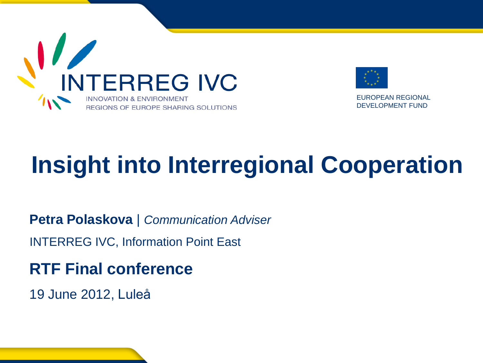



EUROPEAN REGIONAL DEVELOPMENT FUND

# **Insight into Interregional Cooperation**

**Petra Polaskova** | *Communication Adviser*

INTERREG IVC, Information Point East

**RTF Final conference** 

19 June 2012, Luleå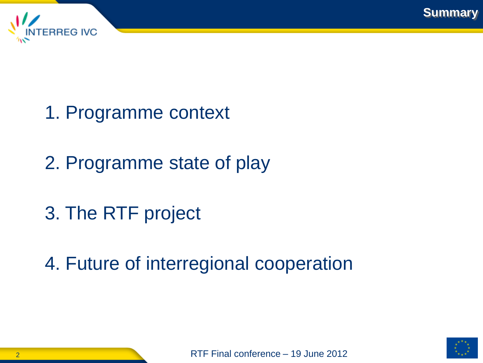



- 1. Programme context
- 2. Programme state of play
- 3. The RTF project
- 4. Future of interregional cooperation

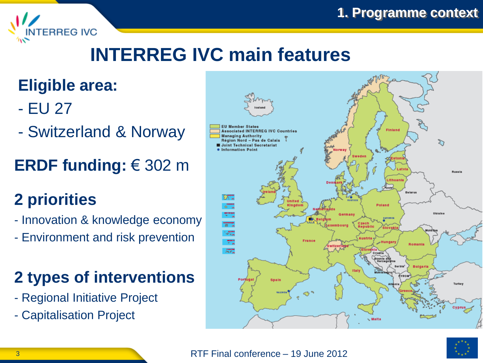

#### **Eligible area:**

**NTERREG IVC** 

- EU 27
- Switzerland & Norway
- **ERDF funding:** € 302 m

#### **2 priorities**

- Innovation & knowledge economy
- Environment and risk prevention

#### **2 types of interventions**

- Regional Initiative Project
- Capitalisation Project



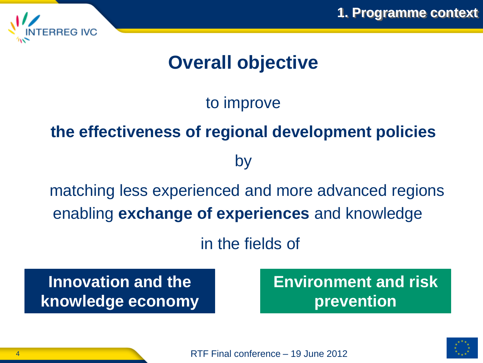



#### **Overall objective**

#### to improve

#### **the effectiveness of regional development policies**

by

enabling **exchange of experiences** and knowledge matching less experienced and more advanced regions

in the fields of

**Innovation and the knowledge economy** **Environment and risk prevention**

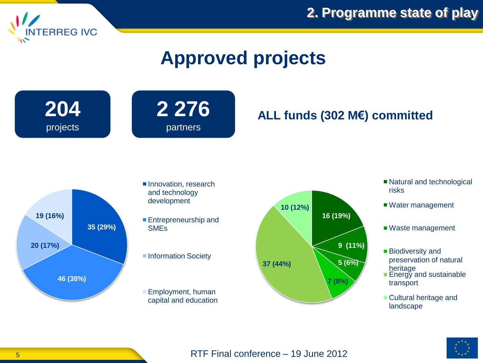

**2. Programme state of play**

#### **Approved projects**

**204** projects



#### **ALL funds (302 M€) committed**



- Innovation, research and technology development
- **Entrepreneurship and SME<sub>s</sub>**
- Information Society
- Employment, human capital and education



- Natural and technological risks
- Water management
- Waste management
- Biodiversity and preservation of natural heritage
- **Energy and sustainable** transport
- **Cultural heritage and** landscape

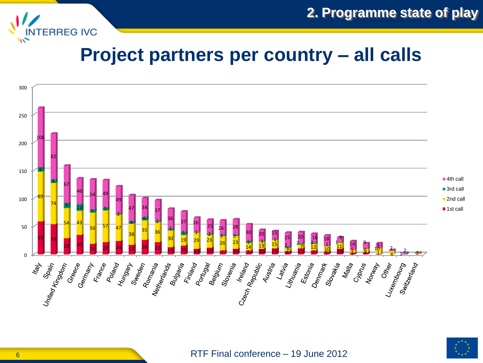

**2. Programme state of play**

#### **Project partners per country – all calls**



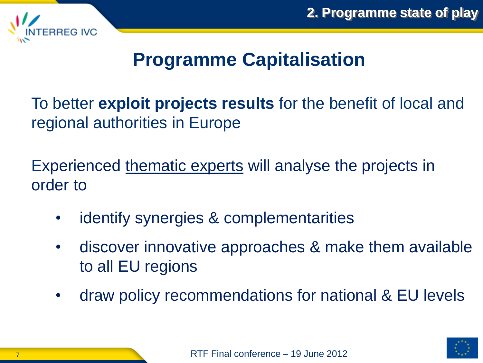

#### **Programme Capitalisation**

To better **exploit projects results** for the benefit of local and regional authorities in Europe

Experienced thematic experts will analyse the projects in order to

- identify synergies & complementarities
- discover innovative approaches & make them available to all EU regions
- draw policy recommendations for national & EU levels

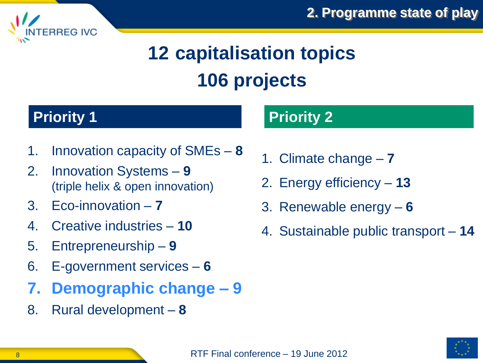# **12 capitalisation topics 106 projects**

#### **Priority 1 Priority 2**

**ERREG IVC** 

- 1. Innovation capacity of SMEs **8**
- 2. Innovation Systems **9**  (triple helix & open innovation)
- 3. Eco-innovation **7**
- 4. Creative industries **10**
- 5. Entrepreneurship **9**
- 6. E-government services **6**
- **7. Demographic change – 9**
- 8. Rural development **8**

- 1. Climate change **7**
- 2. Energy efficiency **13**
- 3. Renewable energy **6**
- 4. Sustainable public transport **14**

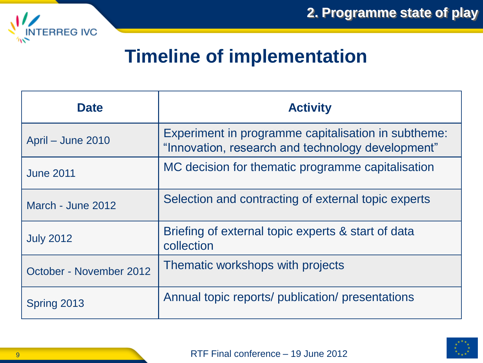

#### **Timeline of implementation**

| <b>Date</b>             | <b>Activity</b>                                                                                          |
|-------------------------|----------------------------------------------------------------------------------------------------------|
| April – June 2010       | Experiment in programme capitalisation in subtheme:<br>"Innovation, research and technology development" |
| <b>June 2011</b>        | MC decision for thematic programme capitalisation                                                        |
| March - June 2012       | Selection and contracting of external topic experts                                                      |
| <b>July 2012</b>        | Briefing of external topic experts & start of data<br>collection                                         |
| October - November 2012 | Thematic workshops with projects                                                                         |
| Spring 2013             | Annual topic reports/ publication/ presentations                                                         |

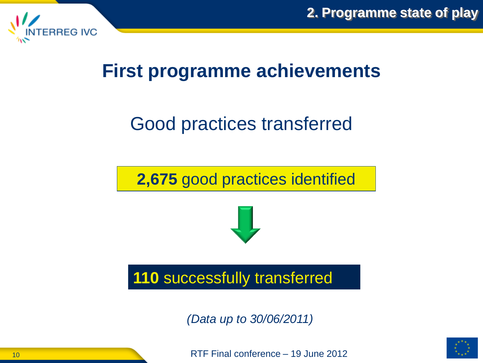



#### **First programme achievements**

## Good practices transferred

**2,675** good practices identified



#### **110** successfully transferred

*(Data up to 30/06/2011)*



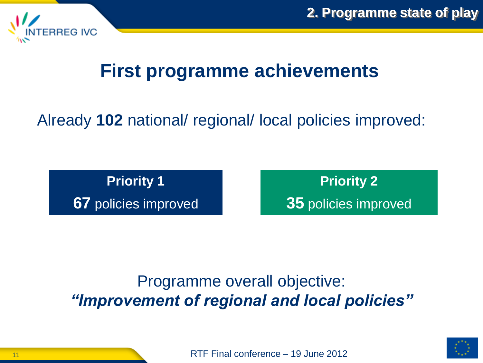

#### **First programme achievements**

#### Already **102** national/ regional/ local policies improved:

**Priority 1 67** policies improved

**Priority 2 35** policies improved

#### Programme overall objective: *"Improvement of regional and local policies"*

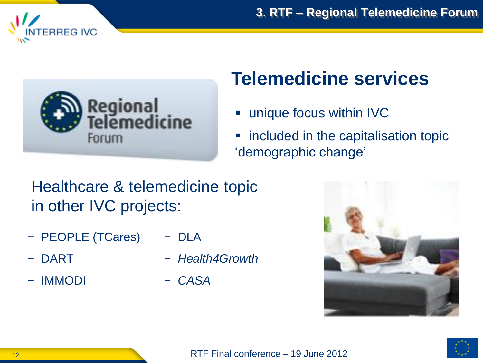



## **Telemedicine services**

- unique focus within **IVC**
- included in the capitalisation topic "demographic change"

#### Healthcare & telemedicine topic in other IVC projects:

- − PEOPLE (TCares) − DLA
- − DART
- − IMMODI
- − *Health4Growth*
- − *CASA*



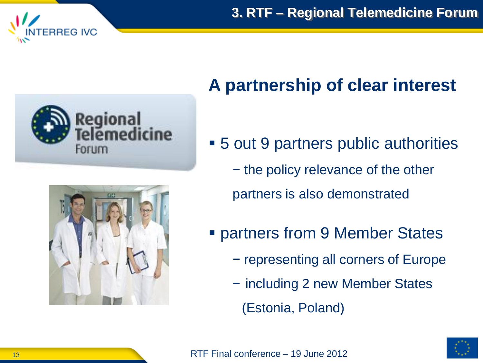**3. RTF – Regional Telemedicine Forum**







Forum

#### **A partnership of clear interest**

- 5 out 9 partners public authorities
	- − the policy relevance of the other

partners is also demonstrated

- **Partners from 9 Member States** 
	- − representing all corners of Europe
	- − including 2 new Member States
		- (Estonia, Poland)

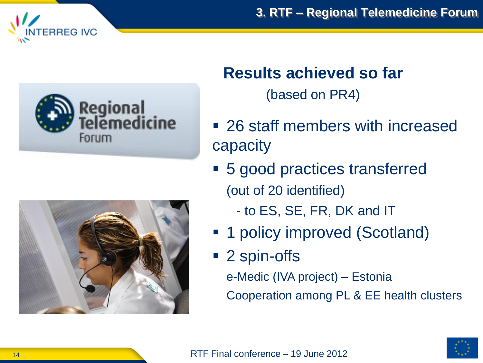





#### **Results achieved so far**

(based on PR4)

- 26 staff members with increased capacity
- 5 good practices transferred (out of 20 identified)
	- to ES, SE, FR, DK and IT
- 1 policy improved (Scotland)
- 2 spin-offs

e-Medic (IVA project) – Estonia Cooperation among PL & EE health clusters

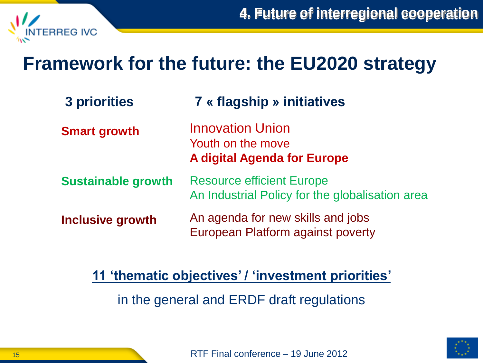

## **Framework for the future: the EU2020 strategy**

| 3 priorities              | <b>7 « flagship » initiatives</b>                                                   |
|---------------------------|-------------------------------------------------------------------------------------|
| <b>Smart growth</b>       | <b>Innovation Union</b><br>Youth on the move<br><b>A digital Agenda for Europe</b>  |
| <b>Sustainable growth</b> | <b>Resource efficient Europe</b><br>An Industrial Policy for the globalisation area |
| <b>Inclusive growth</b>   | An agenda for new skills and jobs<br>European Platform against poverty              |

**11 'thematic objectives' / 'investment priorities'**

in the general and ERDF draft regulations

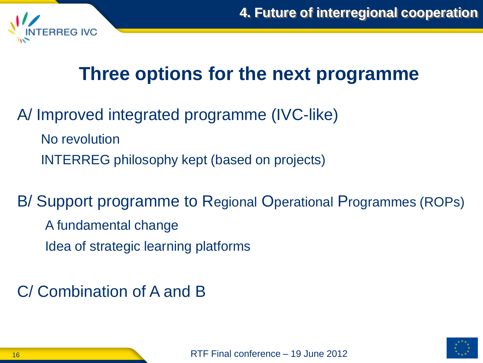

## **Three options for the next programme**

A/ Improved integrated programme (IVC-like) No revolution INTERREG philosophy kept (based on projects)

B/ Support programme to Regional Operational Programmes (ROPs) A fundamental change Idea of strategic learning platforms

C/ Combination of A and B